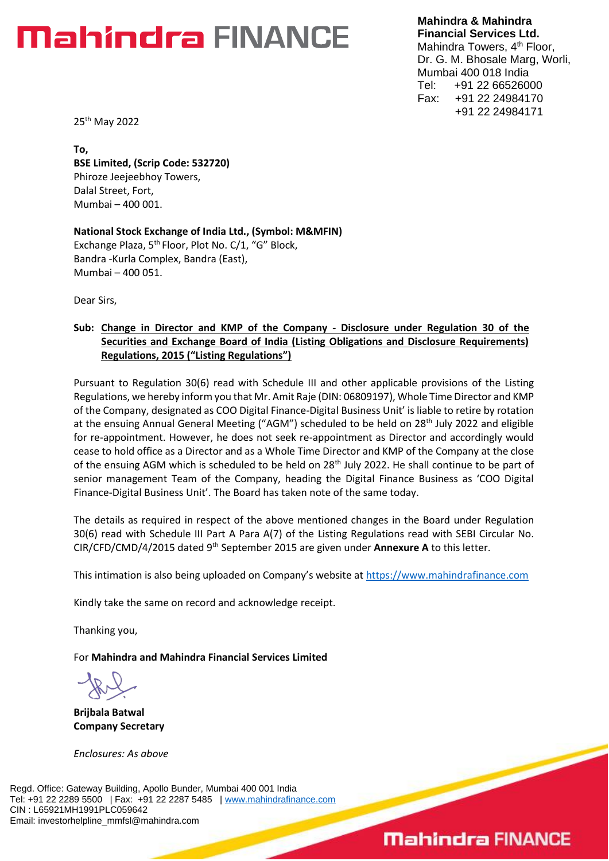# **Mahindra FINANCE**

**Mahindra & Mahindra Financial Services Ltd.** Mahindra Towers, 4<sup>th</sup> Floor, Dr. G. M. Bhosale Marg, Worli, Mumbai 400 018 India Tel: +91 22 66526000 Fax: +91 22 24984170 +91 22 24984171

25th May 2022

**To, BSE Limited, (Scrip Code: 532720)**  Phiroze Jeejeebhoy Towers, Dalal Street, Fort, Mumbai – 400 001.

**National Stock Exchange of India Ltd., (Symbol: M&MFIN)** Exchange Plaza, 5<sup>th</sup> Floor, Plot No. C/1, "G" Block, Bandra -Kurla Complex, Bandra (East), Mumbai – 400 051.

Dear Sirs,

#### **Sub: Change in Director and KMP of the Company - Disclosure under Regulation 30 of the Securities and Exchange Board of India (Listing Obligations and Disclosure Requirements) Regulations, 2015 ("Listing Regulations")**

Pursuant to Regulation 30(6) read with Schedule III and other applicable provisions of the Listing Regulations, we hereby inform you that Mr. Amit Raje (DIN: 06809197), Whole Time Director and KMP of the Company, designated as COO Digital Finance-Digital Business Unit' is liable to retire by rotation at the ensuing Annual General Meeting ("AGM") scheduled to be held on 28<sup>th</sup> July 2022 and eligible for re-appointment. However, he does not seek re-appointment as Director and accordingly would cease to hold office as a Director and as a Whole Time Director and KMP of the Company at the close of the ensuing AGM which is scheduled to be held on 28<sup>th</sup> July 2022. He shall continue to be part of senior management Team of the Company, heading the Digital Finance Business as 'COO Digital Finance-Digital Business Unit'. The Board has taken note of the same today.

The details as required in respect of the above mentioned changes in the Board under Regulation 30(6) read with Schedule III Part A Para A(7) of the Listing Regulations read with SEBI Circular No. CIR/CFD/CMD/4/2015 dated 9th September 2015 are given under **Annexure A** to this letter.

This intimation is also being uploaded on Company's website at [https://www.mahindrafinance.com](https://www.mahindrafinance.com/)

Kindly take the same on record and acknowledge receipt.

Thanking you,

For **Mahindra and Mahindra Financial Services Limited**

**Brijbala Batwal Company Secretary** 

*Enclosures: As above*

Regd. Office: Gateway Building, Apollo Bunder, Mumbai 400 001 India Tel: +91 22 2289 5500 | Fax: +91 22 2287 5485 | [www.mahindrafinance.com](http://www.mahindrafinance.com/) CIN : L65921MH1991PLC059642 Email: investorhelpline\_mmfsl@mahindra.com

## **Mahindra FINANCE**